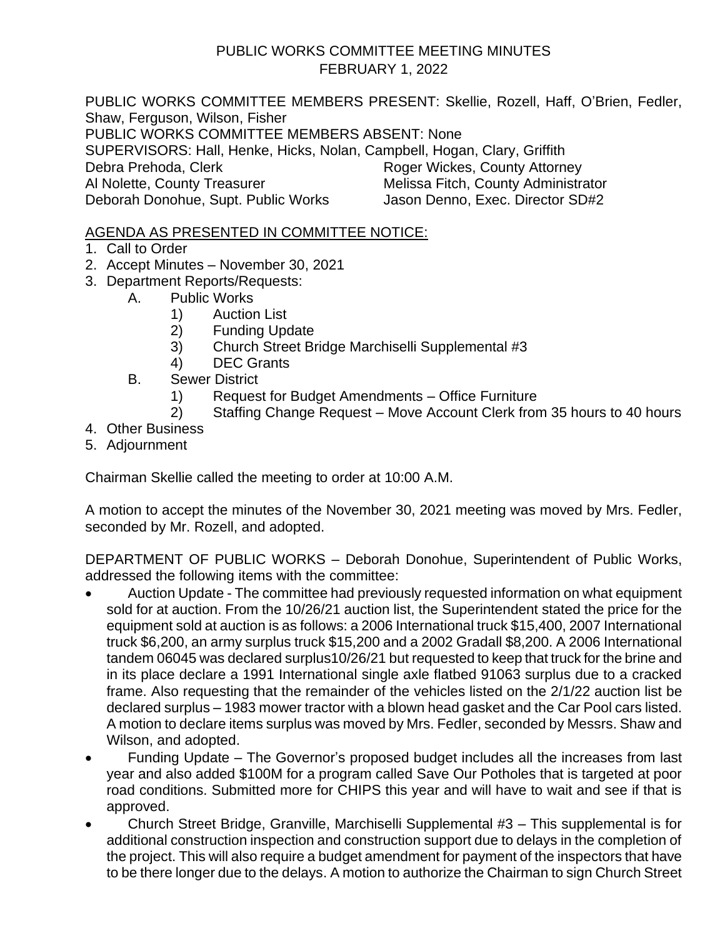#### PUBLIC WORKS COMMITTEE MEETING MINUTES FEBRUARY 1, 2022

PUBLIC WORKS COMMITTEE MEMBERS PRESENT: Skellie, Rozell, Haff, O'Brien, Fedler, Shaw, Ferguson, Wilson, Fisher PUBLIC WORKS COMMITTEE MEMBERS ABSENT: None SUPERVISORS: Hall, Henke, Hicks, Nolan, Campbell, Hogan, Clary, Griffith Debra Prehoda, Clerk Roger Wickes, County Attorney Al Nolette, County Treasurer Melissa Fitch, County Administrator Deborah Donohue, Supt. Public Works Jason Denno, Exec. Director SD#2

#### AGENDA AS PRESENTED IN COMMITTEE NOTICE:

- 1. Call to Order
- 2. Accept Minutes November 30, 2021
- 3. Department Reports/Requests:
	- A. Public Works
		- 1) Auction List
		- 2) Funding Update
		- 3) Church Street Bridge Marchiselli Supplemental #3
		- 4) DEC Grants
	- B. Sewer District
		- 1) Request for Budget Amendments Office Furniture
		- 2) Staffing Change Request Move Account Clerk from 35 hours to 40 hours
- 4. Other Business
- 5. Adjournment

Chairman Skellie called the meeting to order at 10:00 A.M.

A motion to accept the minutes of the November 30, 2021 meeting was moved by Mrs. Fedler, seconded by Mr. Rozell, and adopted.

DEPARTMENT OF PUBLIC WORKS – Deborah Donohue, Superintendent of Public Works, addressed the following items with the committee:

- Auction Update The committee had previously requested information on what equipment sold for at auction. From the 10/26/21 auction list, the Superintendent stated the price for the equipment sold at auction is as follows: a 2006 International truck \$15,400, 2007 International truck \$6,200, an army surplus truck \$15,200 and a 2002 Gradall \$8,200. A 2006 International tandem 06045 was declared surplus10/26/21 but requested to keep that truck for the brine and in its place declare a 1991 International single axle flatbed 91063 surplus due to a cracked frame. Also requesting that the remainder of the vehicles listed on the 2/1/22 auction list be declared surplus – 1983 mower tractor with a blown head gasket and the Car Pool cars listed. A motion to declare items surplus was moved by Mrs. Fedler, seconded by Messrs. Shaw and Wilson, and adopted.
- Funding Update The Governor's proposed budget includes all the increases from last year and also added \$100M for a program called Save Our Potholes that is targeted at poor road conditions. Submitted more for CHIPS this year and will have to wait and see if that is approved.
- Church Street Bridge, Granville, Marchiselli Supplemental #3 This supplemental is for additional construction inspection and construction support due to delays in the completion of the project. This will also require a budget amendment for payment of the inspectors that have to be there longer due to the delays. A motion to authorize the Chairman to sign Church Street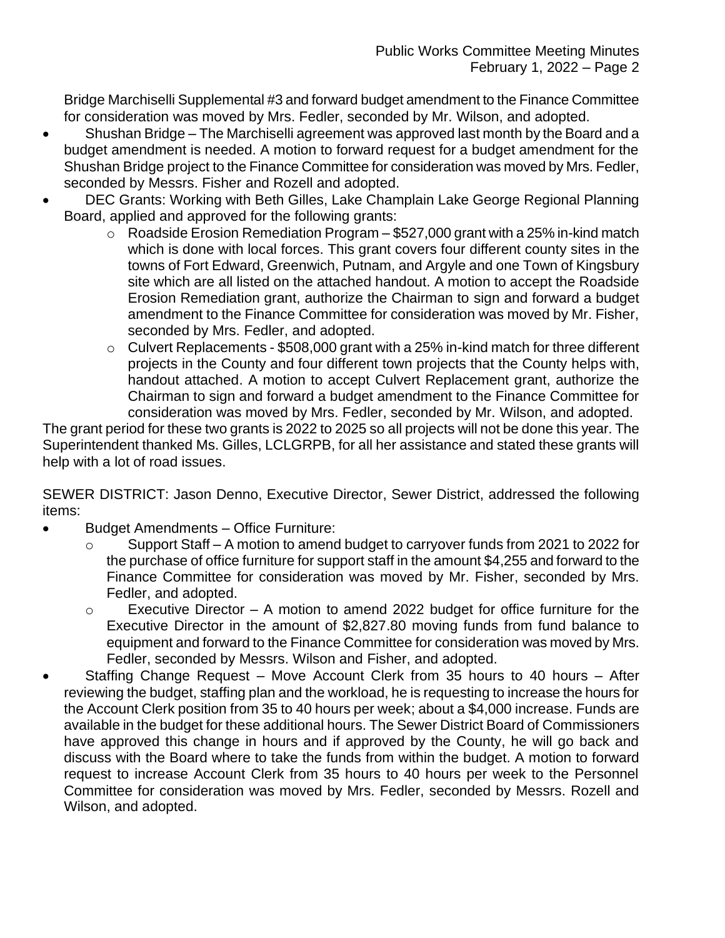Bridge Marchiselli Supplemental #3 and forward budget amendment to the Finance Committee for consideration was moved by Mrs. Fedler, seconded by Mr. Wilson, and adopted.

- Shushan Bridge The Marchiselli agreement was approved last month by the Board and a budget amendment is needed. A motion to forward request for a budget amendment for the Shushan Bridge project to the Finance Committee for consideration was moved by Mrs. Fedler, seconded by Messrs. Fisher and Rozell and adopted.
- DEC Grants: Working with Beth Gilles, Lake Champlain Lake George Regional Planning Board, applied and approved for the following grants:
	- $\circ$  Roadside Erosion Remediation Program \$527,000 grant with a 25% in-kind match which is done with local forces. This grant covers four different county sites in the towns of Fort Edward, Greenwich, Putnam, and Argyle and one Town of Kingsbury site which are all listed on the attached handout. A motion to accept the Roadside Erosion Remediation grant, authorize the Chairman to sign and forward a budget amendment to the Finance Committee for consideration was moved by Mr. Fisher, seconded by Mrs. Fedler, and adopted.
	- o Culvert Replacements \$508,000 grant with a 25% in-kind match for three different projects in the County and four different town projects that the County helps with, handout attached. A motion to accept Culvert Replacement grant, authorize the Chairman to sign and forward a budget amendment to the Finance Committee for consideration was moved by Mrs. Fedler, seconded by Mr. Wilson, and adopted.

The grant period for these two grants is 2022 to 2025 so all projects will not be done this year. The Superintendent thanked Ms. Gilles, LCLGRPB, for all her assistance and stated these grants will help with a lot of road issues.

SEWER DISTRICT: Jason Denno, Executive Director, Sewer District, addressed the following items:

- Budget Amendments Office Furniture:
	- o Support Staff A motion to amend budget to carryover funds from 2021 to 2022 for the purchase of office furniture for support staff in the amount \$4,255 and forward to the Finance Committee for consideration was moved by Mr. Fisher, seconded by Mrs. Fedler, and adopted.
	- o Executive Director A motion to amend 2022 budget for office furniture for the Executive Director in the amount of \$2,827.80 moving funds from fund balance to equipment and forward to the Finance Committee for consideration was moved by Mrs. Fedler, seconded by Messrs. Wilson and Fisher, and adopted.
- Staffing Change Request Move Account Clerk from 35 hours to 40 hours After reviewing the budget, staffing plan and the workload, he is requesting to increase the hours for the Account Clerk position from 35 to 40 hours per week; about a \$4,000 increase. Funds are available in the budget for these additional hours. The Sewer District Board of Commissioners have approved this change in hours and if approved by the County, he will go back and discuss with the Board where to take the funds from within the budget. A motion to forward request to increase Account Clerk from 35 hours to 40 hours per week to the Personnel Committee for consideration was moved by Mrs. Fedler, seconded by Messrs. Rozell and Wilson, and adopted.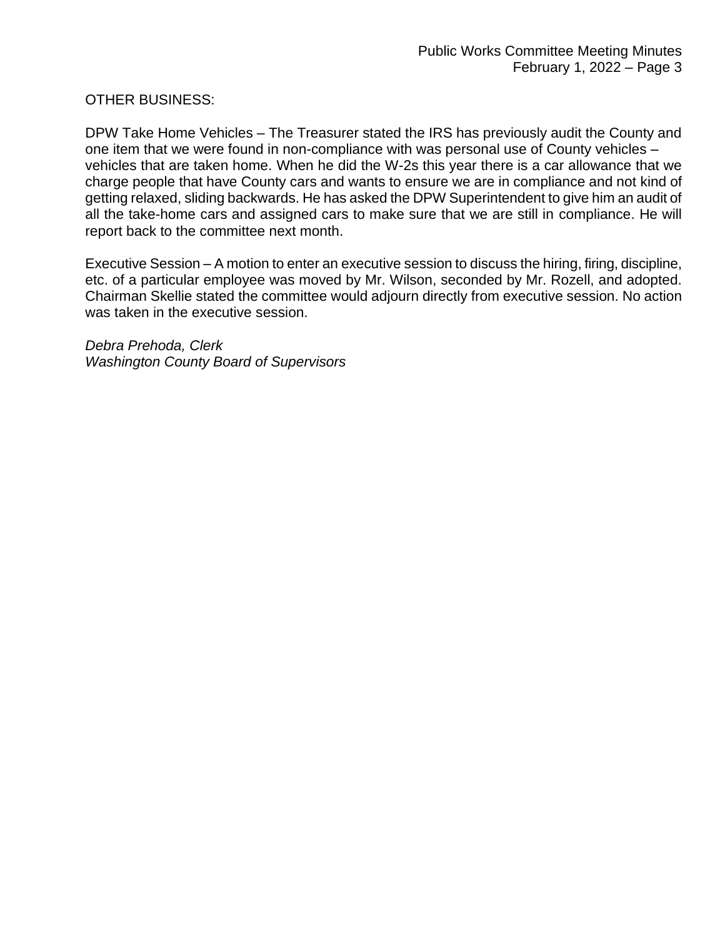#### OTHER BUSINESS:

DPW Take Home Vehicles – The Treasurer stated the IRS has previously audit the County and one item that we were found in non-compliance with was personal use of County vehicles – vehicles that are taken home. When he did the W-2s this year there is a car allowance that we charge people that have County cars and wants to ensure we are in compliance and not kind of getting relaxed, sliding backwards. He has asked the DPW Superintendent to give him an audit of all the take-home cars and assigned cars to make sure that we are still in compliance. He will report back to the committee next month.

Executive Session – A motion to enter an executive session to discuss the hiring, firing, discipline, etc. of a particular employee was moved by Mr. Wilson, seconded by Mr. Rozell, and adopted. Chairman Skellie stated the committee would adjourn directly from executive session. No action was taken in the executive session.

*Debra Prehoda, Clerk Washington County Board of Supervisors*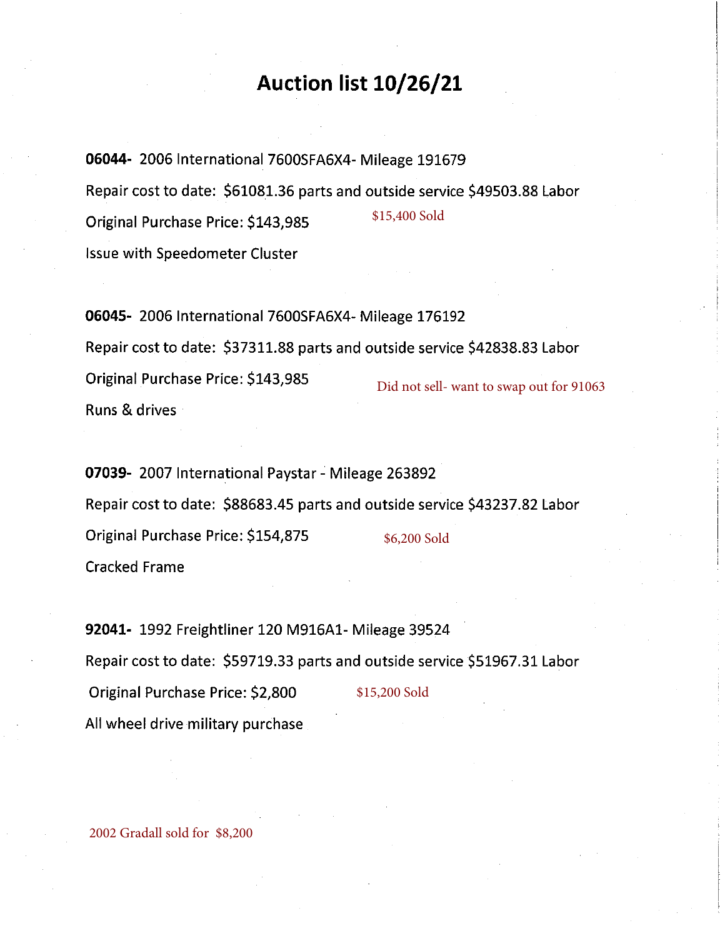## Auction list 10/26/21

06044- 2006 International 7600SFA6X4- Mileage 191679 Repair cost to date: \$61081.36 parts and outside service \$49503.88 Labor \$15,400 Sold Original Purchase Price: \$143,985 **Issue with Speedometer Cluster** 

06045- 2006 International 7600SFA6X4- Mileage 176192 Repair cost to date: \$37311.88 parts and outside service \$42838.83 Labor Original Purchase Price: \$143,985 Did not sell- want to swap out for 91063 Runs & drives

07039- 2007 International Paystar - Mileage 263892 Repair cost to date: \$88683.45 parts and outside service \$43237.82 Labor Original Purchase Price: \$154,875 \$6,200 Sold **Cracked Frame** 

92041- 1992 Freightliner 120 M916A1- Mileage 39524 Repair cost to date: \$59719.33 parts and outside service \$51967.31 Labor Original Purchase Price: \$2,800 \$15,200 Sold All wheel drive military purchase

2002 Gradall sold for \$8,200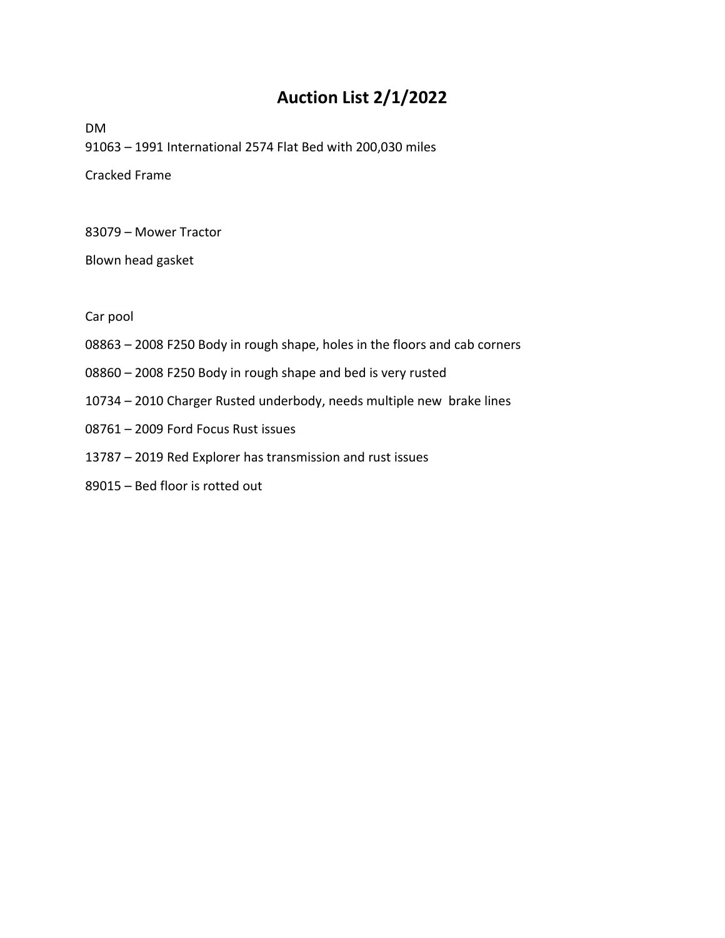### **Auction List 2/1/2022**

DM – 1991 International 2574 Flat Bed with 200,030 miles Cracked Frame

– Mower Tractor

Blown head gasket

Car pool

- 2008 F250 Body in rough shape, holes in the floors and cab corners
- 2008 F250 Body in rough shape and bed is very rusted
- 2010 Charger Rusted underbody, needs multiple new brake lines
- 2009 Ford Focus Rust issues
- 2019 Red Explorer has transmission and rust issues
- Bed floor is rotted out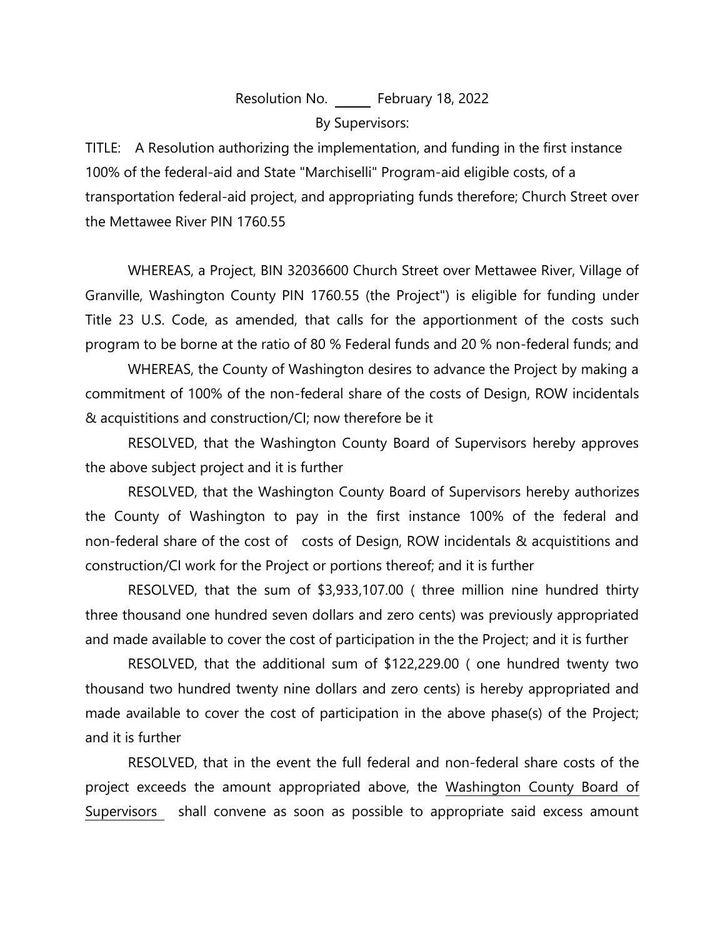Resolution No. February 18, 2022 By Supervisors:

TITLE: A Resolution authorizing the implementation, and funding in the first instance 100% of the federal-aid and State "Marchiselli" Program-aid eligible costs, of a transportation federal-aid project, and appropriating funds therefore; Church Street over the Mettawee River PIN 1760.55

WHEREAS, a Project, BIN 32036600 Church Street over Mettawee River, Village of Granville, Washington County PIN 1760.55 (the Project") is eligible for funding under Title 23 U.S. Code, as amended, that calls for the apportionment of the costs such program to be borne at the ratio of 80 % Federal funds and 20 % non-federal funds; and

WHEREAS, the County of Washington desires to advance the Project by making a commitment of 100% of the non-federal share of the costs of Design, ROW incidentals & acquistitions and construction/CI; now therefore be it

RESOLVED, that the Washington County Board of Supervisors hereby approves the above subject project and it is further

RESOLVED, that the Washington County Board of Supervisors hereby authorizes the County of Washington to pay in the first instance 100% of the federal and non-federal share of the cost of costs of Design, ROW incidentals & acquistitions and construction/CI work for the Project or portions thereof; and it is further

RESOLVED, that the sum of \$3,933,107.00 ( three million nine hundred thirty three thousand one hundred seven dollars and zero cents) was previously appropriated and made available to cover the cost of participation in the the Project; and it is further

RESOLVED, that the additional sum of \$122,229.00 ( one hundred twenty two thousand two hundred twenty nine dollars and zero cents) is hereby appropriated and made available to cover the cost of participation in the above phase(s) of the Project; and it is further

RESOLVED, that in the event the full federal and non-federal share costs of the project exceeds the amount appropriated above, the Washington County Board of Supervisors shall convene as soon as possible to appropriate said excess amount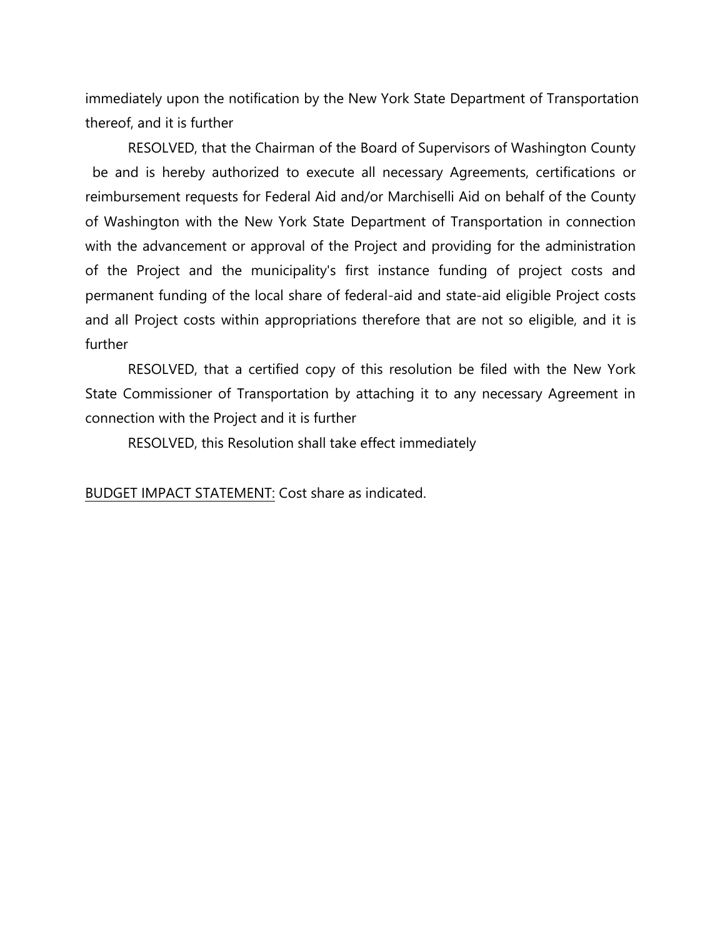immediately upon the notification by the New York State Department of Transportation thereof, and it is further

RESOLVED, that the Chairman of the Board of Supervisors of Washington County be and is hereby authorized to execute all necessary Agreements, certifications or reimbursement requests for Federal Aid and/or Marchiselli Aid on behalf of the County of Washington with the New York State Department of Transportation in connection with the advancement or approval of the Project and providing for the administration of the Project and the municipality's first instance funding of project costs and permanent funding of the local share of federal-aid and state-aid eligible Project costs and all Project costs within appropriations therefore that are not so eligible, and it is further

RESOLVED, that a certified copy of this resolution be filed with the New York State Commissioner of Transportation by attaching it to any necessary Agreement in connection with the Project and it is further

RESOLVED, this Resolution shall take effect immediately

BUDGET IMPACT STATEMENT: Cost share as indicated.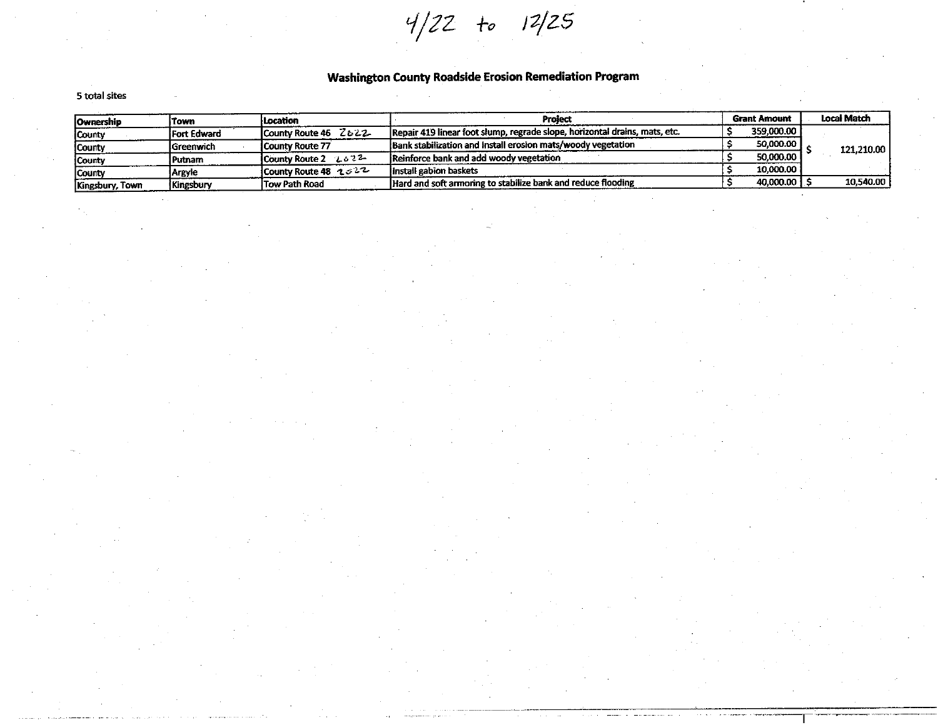$4/22$  to  $12/25$ 

#### **Washington County Roadside Erosion Remediation Program**

#### 5 total sites

| <b>Ownership</b> | iTown               | l Location                  | Project                                                                    | <b>Grant Amount</b> | <b>Local Match</b> |  |
|------------------|---------------------|-----------------------------|----------------------------------------------------------------------------|---------------------|--------------------|--|
| County           | <b>IFort Edward</b> | County Route 46 Z622        | Repair 419 linear foot slump, regrade slope, horizontal drains, mats, etc. | 359,000.00          |                    |  |
| County           | lGreenwich          | <b>ICounty Route 77</b>     | Bank stabilization and install erosion mats/woody vegetation               | 50,000.00           | 121,210.00         |  |
| County           | l Putnam            | <b>ICounty Route 2 しゅうぞ</b> | Reinforce bank and add woody vegetation                                    | 50,000,00           |                    |  |
| <b>County</b>    | <b>Argyle</b>       | County Route 48 $232$       | linstall gabion baskets                                                    | 10.000.00           |                    |  |
| Kingsbury, Town  | Kingsbury           | Tow Path Road               | Hard and soft armoring to stabilize bank and reduce flooding               | 40,000.00 ]         | 10,540.00          |  |